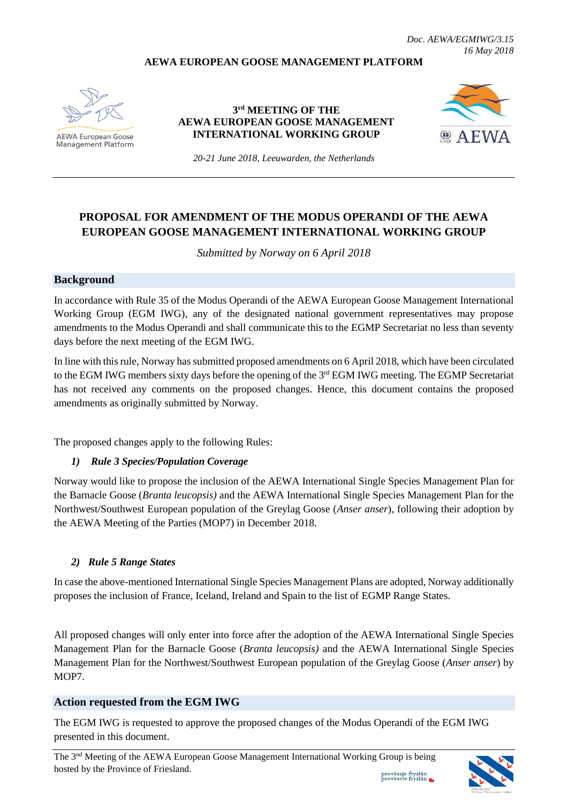### **AEWA EUROPEAN GOOSE MANAGEMENT PLATFORM**



**AEWA European Goose Management Platform** 

### **3 rd MEETING OF THE AEWA EUROPEAN GOOSE MANAGEMENT INTERNATIONAL WORKING GROUP**



*20-21 June 2018, Leeuwarden, the Netherlands*

# **PROPOSAL FOR AMENDMENT OF THE MODUS OPERANDI OF THE AEWA EUROPEAN GOOSE MANAGEMENT INTERNATIONAL WORKING GROUP**

*Submitted by Norway on 6 April 2018*

### **Background**

In accordance with Rule 35 of the Modus Operandi of the AEWA European Goose Management International Working Group (EGM IWG), any of the designated national government representatives may propose amendments to the Modus Operandi and shall communicate this to the EGMP Secretariat no less than seventy days before the next meeting of the EGM IWG.

In line with this rule, Norway has submitted proposed amendments on 6 April 2018, which have been circulated to the EGM IWG members sixty days before the opening of the 3<sup>rd</sup> EGM IWG meeting. The EGMP Secretariat has not received any comments on the proposed changes. Hence, this document contains the proposed amendments as originally submitted by Norway.

The proposed changes apply to the following Rules:

### *1) Rule 3 Species/Population Coverage*

Norway would like to propose the inclusion of the AEWA International Single Species Management Plan for the Barnacle Goose (*Branta leucopsis)* and the AEWA International Single Species Management Plan for the Northwest/Southwest European population of the Greylag Goose (*Anser anser*), following their adoption by the AEWA Meeting of the Parties (MOP7) in December 2018.

### *2) Rule 5 Range States*

In case the above-mentioned International Single Species Management Plans are adopted, Norway additionally proposes the inclusion of France, Iceland, Ireland and Spain to the list of EGMP Range States.

All proposed changes will only enter into force after the adoption of the AEWA International Single Species Management Plan for the Barnacle Goose (*Branta leucopsis)* and the AEWA International Single Species Management Plan for the Northwest/Southwest European population of the Greylag Goose (*Anser anser*) by MOP7.

### **Action requested from the EGM IWG**

The EGM IWG is requested to approve the proposed changes of the Modus Operandi of the EGM IWG presented in this document.



provinsje fryslân<br>provincie fryslân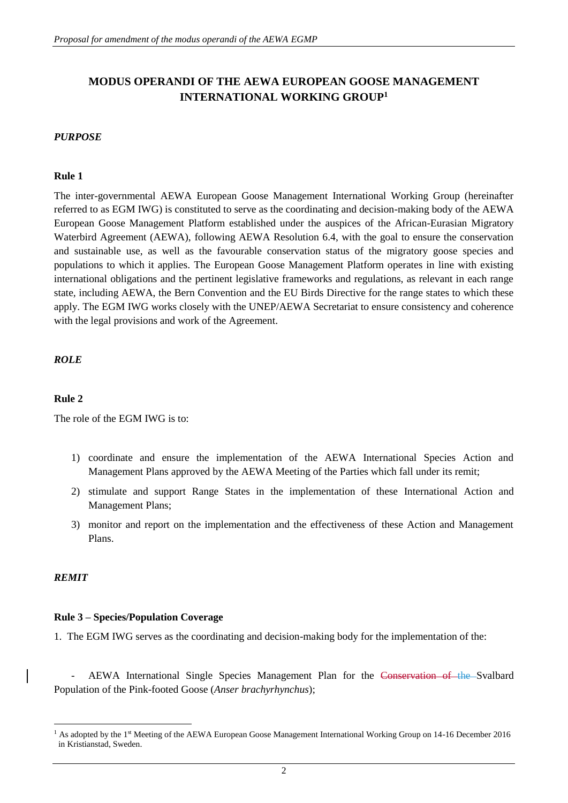# **MODUS OPERANDI OF THE AEWA EUROPEAN GOOSE MANAGEMENT INTERNATIONAL WORKING GROUP<sup>1</sup>**

### *PURPOSE*

### **Rule 1**

The inter-governmental AEWA European Goose Management International Working Group (hereinafter referred to as EGM IWG) is constituted to serve as the coordinating and decision-making body of the AEWA European Goose Management Platform established under the auspices of the African-Eurasian Migratory Waterbird Agreement (AEWA), following AEWA Resolution 6.4, with the goal to ensure the conservation and sustainable use, as well as the favourable conservation status of the migratory goose species and populations to which it applies. The European Goose Management Platform operates in line with existing international obligations and the pertinent legislative frameworks and regulations, as relevant in each range state, including AEWA, the Bern Convention and the EU Birds Directive for the range states to which these apply. The EGM IWG works closely with the UNEP/AEWA Secretariat to ensure consistency and coherence with the legal provisions and work of the Agreement.

### *ROLE*

### **Rule 2**

The role of the EGM IWG is to:

- 1) coordinate and ensure the implementation of the AEWA International Species Action and Management Plans approved by the AEWA Meeting of the Parties which fall under its remit;
- 2) stimulate and support Range States in the implementation of these International Action and Management Plans;
- 3) monitor and report on the implementation and the effectiveness of these Action and Management Plans.

#### *REMIT*

1

#### **Rule 3 – Species/Population Coverage**

1. The EGM IWG serves as the coordinating and decision-making body for the implementation of the:

AEWA International Single Species Management Plan for the Conservation of the Svalbard Population of the Pink-footed Goose (*Anser brachyrhynchus*);

<sup>&</sup>lt;sup>1</sup> As adopted by the 1<sup>st</sup> Meeting of the AEWA European Goose Management International Working Group on 14-16 December 2016 in Kristianstad, Sweden.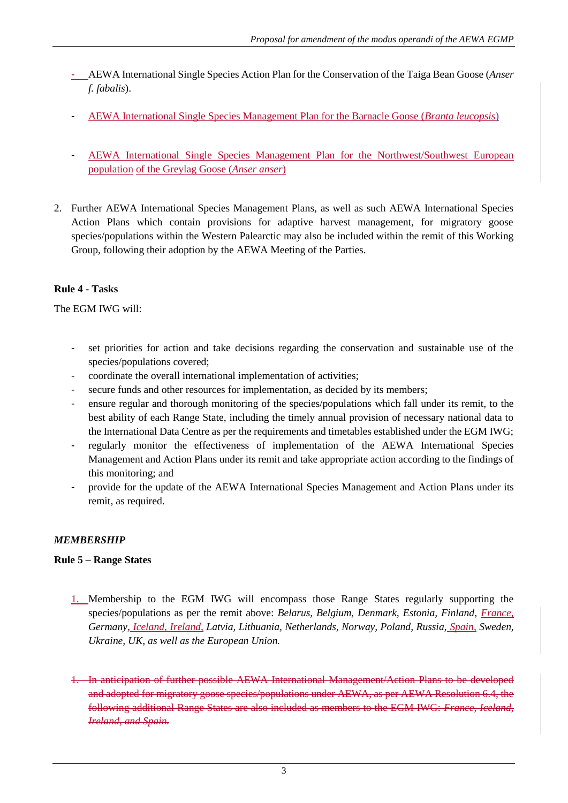- AEWA International Single Species Action Plan for the Conservation of the Taiga Bean Goose (*Anser f. fabalis*).
- AEWA International Single Species Management Plan for the Barnacle Goose (*Branta leucopsis*)
- AEWA International Single Species Management Plan for the Northwest/Southwest European population of the Greylag Goose (*Anser anser*)
- 2. Further AEWA International Species Management Plans, as well as such AEWA International Species Action Plans which contain provisions for adaptive harvest management, for migratory goose species/populations within the Western Palearctic may also be included within the remit of this Working Group, following their adoption by the AEWA Meeting of the Parties.

## **Rule 4 - Tasks**

The EGM IWG will:

- set priorities for action and take decisions regarding the conservation and sustainable use of the species/populations covered;
- coordinate the overall international implementation of activities;
- secure funds and other resources for implementation, as decided by its members;
- ensure regular and thorough monitoring of the species/populations which fall under its remit, to the best ability of each Range State, including the timely annual provision of necessary national data to the International Data Centre as per the requirements and timetables established under the EGM IWG;
- regularly monitor the effectiveness of implementation of the AEWA International Species Management and Action Plans under its remit and take appropriate action according to the findings of this monitoring; and
- provide for the update of the AEWA International Species Management and Action Plans under its remit, as required.

### *MEMBERSHIP*

### **Rule 5 – Range States**

- 1. Membership to the EGM IWG will encompass those Range States regularly supporting the species/populations as per the remit above: *Belarus, Belgium, Denmark, Estonia, Finland, France, Germany, Iceland, Ireland, Latvia, Lithuania, Netherlands, Norway, Poland, Russia, Spain, Sweden, Ukraine, UK, as well as the European Union.*
- 1. In anticipation of further possible AEWA International Management/Action Plans to be developed and adopted for migratory goose species/populations under AEWA, as per AEWA Resolution 6.4, the following additional Range States are also included as members to the EGM IWG: *France, Iceland, Ireland, and Spain.*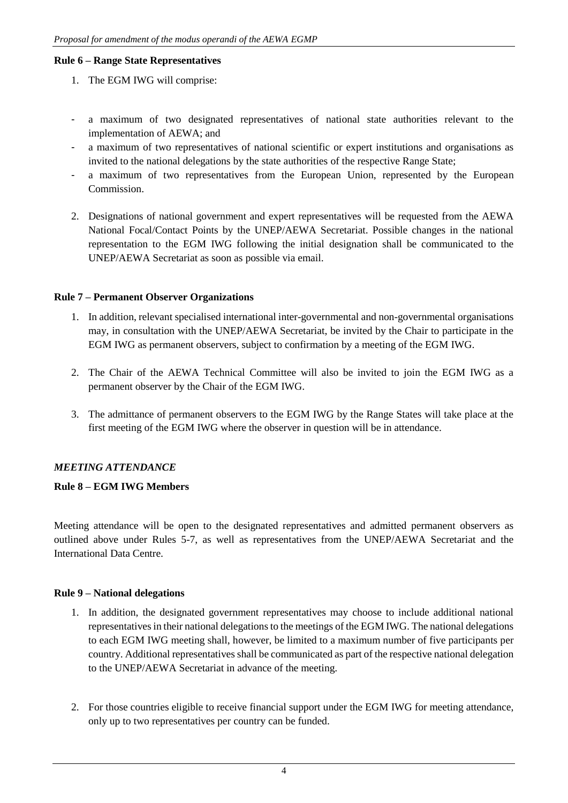### **Rule 6 – Range State Representatives**

- 1. The EGM IWG will comprise:
- a maximum of two designated representatives of national state authorities relevant to the implementation of AEWA; and
- a maximum of two representatives of national scientific or expert institutions and organisations as invited to the national delegations by the state authorities of the respective Range State;
- a maximum of two representatives from the European Union, represented by the European Commission.
- 2. Designations of national government and expert representatives will be requested from the AEWA National Focal/Contact Points by the UNEP/AEWA Secretariat. Possible changes in the national representation to the EGM IWG following the initial designation shall be communicated to the UNEP/AEWA Secretariat as soon as possible via email.

### **Rule 7 – Permanent Observer Organizations**

- 1. In addition, relevant specialised international inter-governmental and non-governmental organisations may, in consultation with the UNEP/AEWA Secretariat, be invited by the Chair to participate in the EGM IWG as permanent observers, subject to confirmation by a meeting of the EGM IWG.
- 2. The Chair of the AEWA Technical Committee will also be invited to join the EGM IWG as a permanent observer by the Chair of the EGM IWG.
- 3. The admittance of permanent observers to the EGM IWG by the Range States will take place at the first meeting of the EGM IWG where the observer in question will be in attendance.

## *MEETING ATTENDANCE*

## **Rule 8 – EGM IWG Members**

Meeting attendance will be open to the designated representatives and admitted permanent observers as outlined above under Rules 5-7, as well as representatives from the UNEP/AEWA Secretariat and the International Data Centre.

### **Rule 9 – National delegations**

- 1. In addition, the designated government representatives may choose to include additional national representatives in their national delegations to the meetings of the EGM IWG. The national delegations to each EGM IWG meeting shall, however, be limited to a maximum number of five participants per country. Additional representatives shall be communicated as part of the respective national delegation to the UNEP/AEWA Secretariat in advance of the meeting.
- 2. For those countries eligible to receive financial support under the EGM IWG for meeting attendance, only up to two representatives per country can be funded.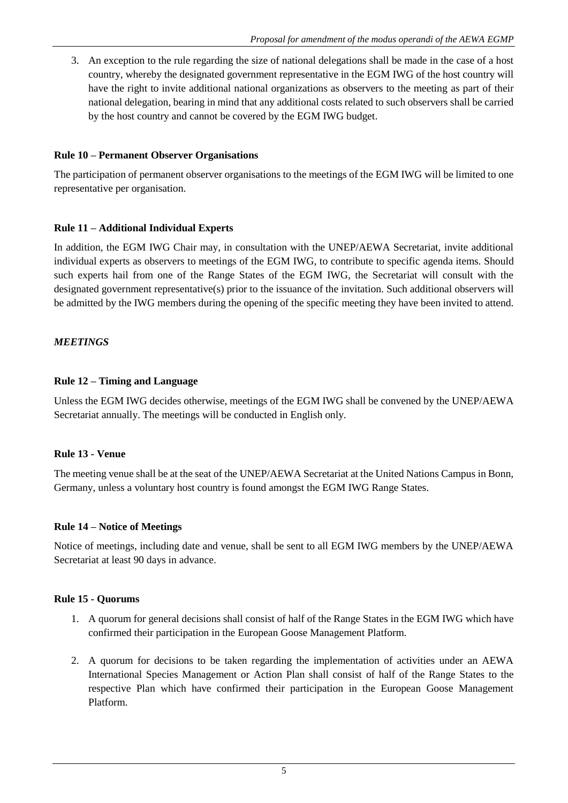3. An exception to the rule regarding the size of national delegations shall be made in the case of a host country, whereby the designated government representative in the EGM IWG of the host country will have the right to invite additional national organizations as observers to the meeting as part of their national delegation, bearing in mind that any additional costs related to such observers shall be carried by the host country and cannot be covered by the EGM IWG budget.

## **Rule 10 – Permanent Observer Organisations**

The participation of permanent observer organisations to the meetings of the EGM IWG will be limited to one representative per organisation.

## **Rule 11 – Additional Individual Experts**

In addition, the EGM IWG Chair may, in consultation with the UNEP/AEWA Secretariat, invite additional individual experts as observers to meetings of the EGM IWG, to contribute to specific agenda items. Should such experts hail from one of the Range States of the EGM IWG, the Secretariat will consult with the designated government representative(s) prior to the issuance of the invitation. Such additional observers will be admitted by the IWG members during the opening of the specific meeting they have been invited to attend.

## *MEETINGS*

## **Rule 12 – Timing and Language**

Unless the EGM IWG decides otherwise, meetings of the EGM IWG shall be convened by the UNEP/AEWA Secretariat annually. The meetings will be conducted in English only.

### **Rule 13 - Venue**

The meeting venue shall be at the seat of the UNEP/AEWA Secretariat at the United Nations Campus in Bonn, Germany, unless a voluntary host country is found amongst the EGM IWG Range States.

### **Rule 14 – Notice of Meetings**

Notice of meetings, including date and venue, shall be sent to all EGM IWG members by the UNEP/AEWA Secretariat at least 90 days in advance.

### **Rule 15 - Quorums**

- 1. A quorum for general decisions shall consist of half of the Range States in the EGM IWG which have confirmed their participation in the European Goose Management Platform.
- 2. A quorum for decisions to be taken regarding the implementation of activities under an AEWA International Species Management or Action Plan shall consist of half of the Range States to the respective Plan which have confirmed their participation in the European Goose Management Platform.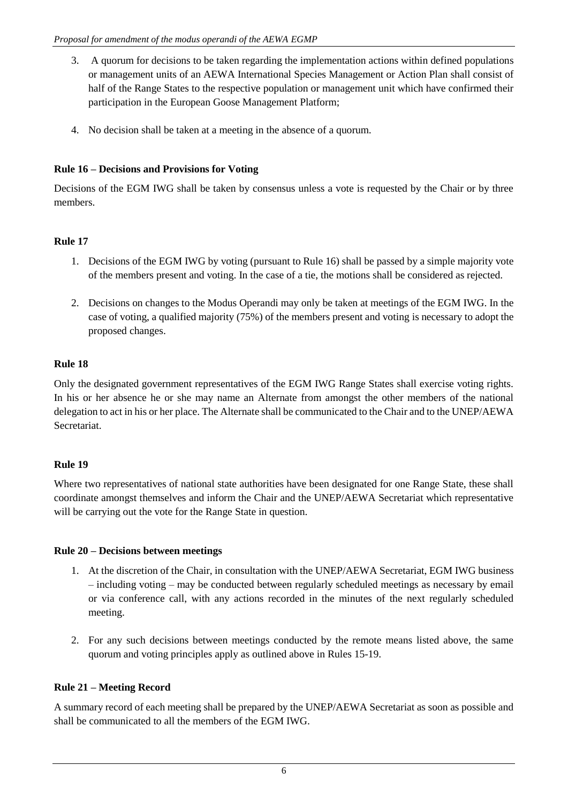- 3. A quorum for decisions to be taken regarding the implementation actions within defined populations or management units of an AEWA International Species Management or Action Plan shall consist of half of the Range States to the respective population or management unit which have confirmed their participation in the European Goose Management Platform;
- 4. No decision shall be taken at a meeting in the absence of a quorum.

# **Rule 16 – Decisions and Provisions for Voting**

Decisions of the EGM IWG shall be taken by consensus unless a vote is requested by the Chair or by three members.

# **Rule 17**

- 1. Decisions of the EGM IWG by voting (pursuant to Rule 16) shall be passed by a simple majority vote of the members present and voting. In the case of a tie, the motions shall be considered as rejected.
- 2. Decisions on changes to the Modus Operandi may only be taken at meetings of the EGM IWG. In the case of voting, a qualified majority (75%) of the members present and voting is necessary to adopt the proposed changes.

# **Rule 18**

Only the designated government representatives of the EGM IWG Range States shall exercise voting rights. In his or her absence he or she may name an Alternate from amongst the other members of the national delegation to act in his or her place. The Alternate shall be communicated to the Chair and to the UNEP/AEWA Secretariat.

## **Rule 19**

Where two representatives of national state authorities have been designated for one Range State, these shall coordinate amongst themselves and inform the Chair and the UNEP/AEWA Secretariat which representative will be carrying out the vote for the Range State in question.

## **Rule 20 – Decisions between meetings**

- 1. At the discretion of the Chair, in consultation with the UNEP/AEWA Secretariat, EGM IWG business – including voting – may be conducted between regularly scheduled meetings as necessary by email or via conference call, with any actions recorded in the minutes of the next regularly scheduled meeting.
- 2. For any such decisions between meetings conducted by the remote means listed above, the same quorum and voting principles apply as outlined above in Rules 15-19.

## **Rule 21 – Meeting Record**

A summary record of each meeting shall be prepared by the UNEP/AEWA Secretariat as soon as possible and shall be communicated to all the members of the EGM IWG.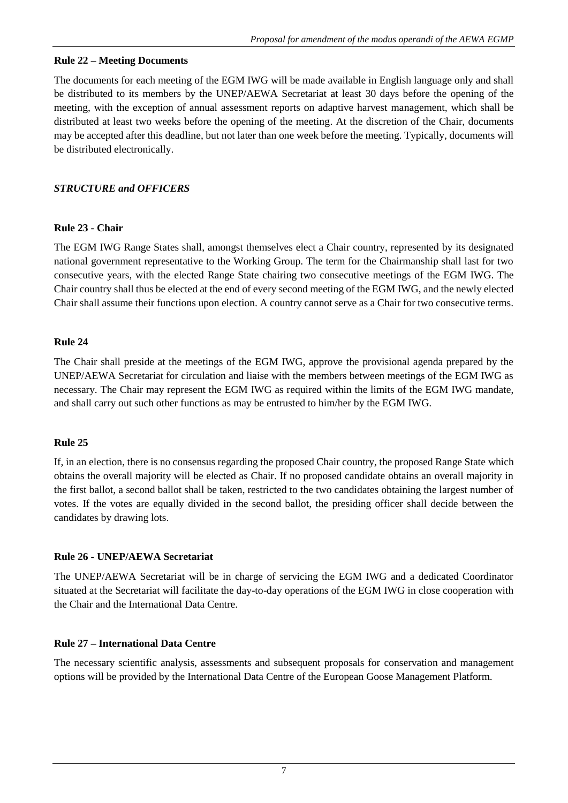## **Rule 22 – Meeting Documents**

The documents for each meeting of the EGM IWG will be made available in English language only and shall be distributed to its members by the UNEP/AEWA Secretariat at least 30 days before the opening of the meeting, with the exception of annual assessment reports on adaptive harvest management, which shall be distributed at least two weeks before the opening of the meeting. At the discretion of the Chair, documents may be accepted after this deadline, but not later than one week before the meeting. Typically, documents will be distributed electronically.

# *STRUCTURE and OFFICERS*

## **Rule 23 - Chair**

The EGM IWG Range States shall, amongst themselves elect a Chair country, represented by its designated national government representative to the Working Group. The term for the Chairmanship shall last for two consecutive years, with the elected Range State chairing two consecutive meetings of the EGM IWG. The Chair country shall thus be elected at the end of every second meeting of the EGM IWG, and the newly elected Chair shall assume their functions upon election. A country cannot serve as a Chair for two consecutive terms.

## **Rule 24**

The Chair shall preside at the meetings of the EGM IWG, approve the provisional agenda prepared by the UNEP/AEWA Secretariat for circulation and liaise with the members between meetings of the EGM IWG as necessary. The Chair may represent the EGM IWG as required within the limits of the EGM IWG mandate, and shall carry out such other functions as may be entrusted to him/her by the EGM IWG.

## **Rule 25**

If, in an election, there is no consensus regarding the proposed Chair country, the proposed Range State which obtains the overall majority will be elected as Chair. If no proposed candidate obtains an overall majority in the first ballot, a second ballot shall be taken, restricted to the two candidates obtaining the largest number of votes. If the votes are equally divided in the second ballot, the presiding officer shall decide between the candidates by drawing lots.

## **Rule 26 - UNEP/AEWA Secretariat**

The UNEP/AEWA Secretariat will be in charge of servicing the EGM IWG and a dedicated Coordinator situated at the Secretariat will facilitate the day-to-day operations of the EGM IWG in close cooperation with the Chair and the International Data Centre.

## **Rule 27 – International Data Centre**

The necessary scientific analysis, assessments and subsequent proposals for conservation and management options will be provided by the International Data Centre of the European Goose Management Platform.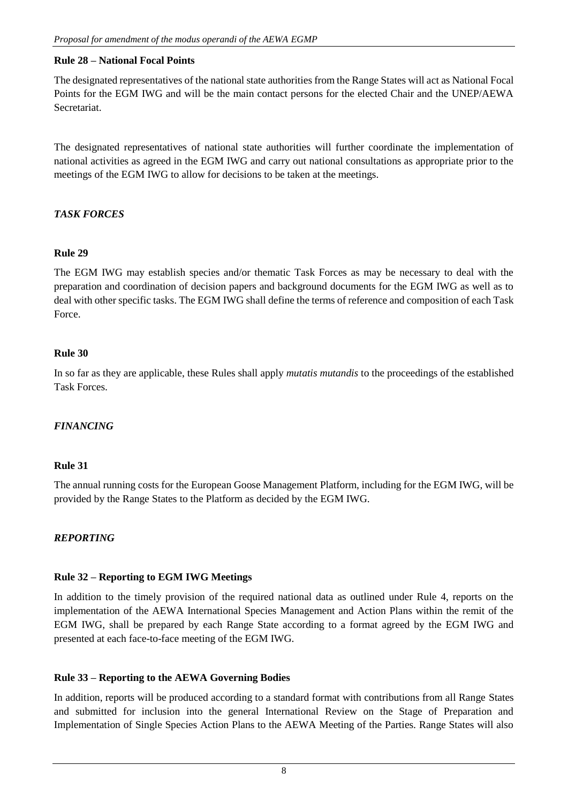### **Rule 28 – National Focal Points**

The designated representatives of the national state authorities from the Range States will act as National Focal Points for the EGM IWG and will be the main contact persons for the elected Chair and the UNEP/AEWA Secretariat.

The designated representatives of national state authorities will further coordinate the implementation of national activities as agreed in the EGM IWG and carry out national consultations as appropriate prior to the meetings of the EGM IWG to allow for decisions to be taken at the meetings.

## *TASK FORCES*

## **Rule 29**

The EGM IWG may establish species and/or thematic Task Forces as may be necessary to deal with the preparation and coordination of decision papers and background documents for the EGM IWG as well as to deal with other specific tasks. The EGM IWG shall define the terms of reference and composition of each Task Force.

## **Rule 30**

In so far as they are applicable, these Rules shall apply *mutatis mutandis* to the proceedings of the established Task Forces.

## *FINANCING*

### **Rule 31**

The annual running costs for the European Goose Management Platform, including for the EGM IWG, will be provided by the Range States to the Platform as decided by the EGM IWG.

### *REPORTING*

### **Rule 32 – Reporting to EGM IWG Meetings**

In addition to the timely provision of the required national data as outlined under Rule 4, reports on the implementation of the AEWA International Species Management and Action Plans within the remit of the EGM IWG, shall be prepared by each Range State according to a format agreed by the EGM IWG and presented at each face-to-face meeting of the EGM IWG.

### **Rule 33 – Reporting to the AEWA Governing Bodies**

In addition, reports will be produced according to a standard format with contributions from all Range States and submitted for inclusion into the general International Review on the Stage of Preparation and Implementation of Single Species Action Plans to the AEWA Meeting of the Parties. Range States will also